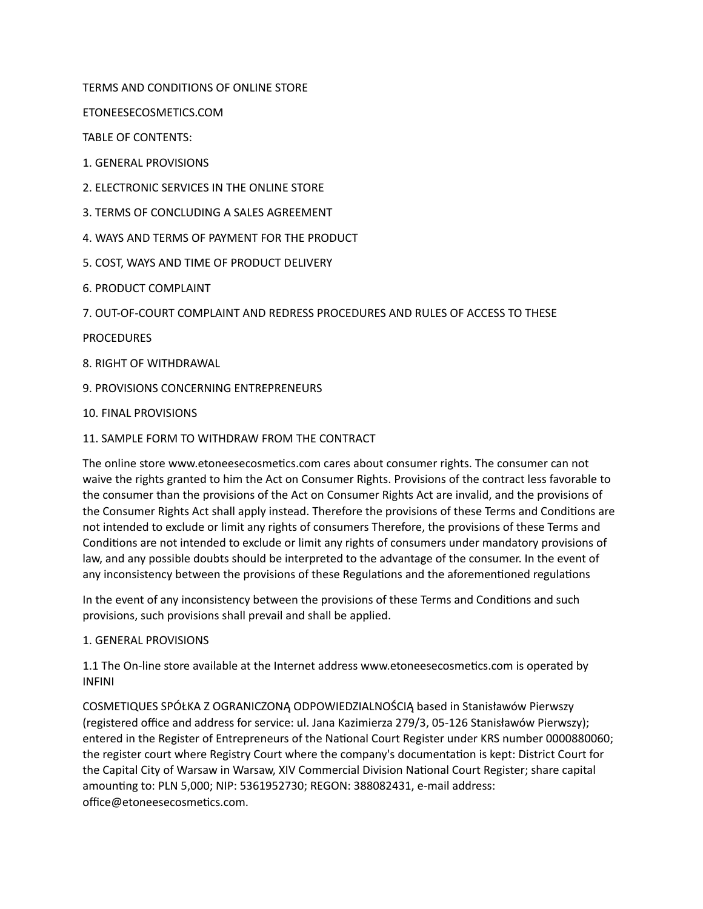TERMS AND CONDITIONS OF ONLINE STORE

ETONEESECOSMETICS.COM

TABLE OF CONTENTS:

1. GENERAL PROVISIONS

- 2. ELECTRONIC SERVICES IN THE ONLINE STORE
- 3. TERMS OF CONCLUDING A SALES AGREEMENT
- 4. WAYS AND TERMS OF PAYMENT FOR THE PRODUCT
- 5. COST, WAYS AND TIME OF PRODUCT DELIVERY
- 6. PRODUCT COMPLAINT
- 7. OUT-OF-COURT COMPLAINT AND REDRESS PROCEDURES AND RULES OF ACCESS TO THESE

PROCEDURES

8. RIGHT OF WITHDRAWAL

9. PROVISIONS CONCERNING ENTREPRENEURS

10. FINAL PROVISIONS

## 11. SAMPLE FORM TO WITHDRAW FROM THE CONTRACT

The online store www.etoneesecosmetics.com cares about consumer rights. The consumer can not waive the rights granted to him the Act on Consumer Rights. Provisions of the contract less favorable to the consumer than the provisions of the Act on Consumer Rights Act are invalid, and the provisions of the Consumer Rights Act shall apply instead. Therefore the provisions of these Terms and Conditions are not intended to exclude or limit any rights of consumers Therefore, the provisions of these Terms and Conditions are not intended to exclude or limit any rights of consumers under mandatory provisions of law, and any possible doubts should be interpreted to the advantage of the consumer. In the event of any inconsistency between the provisions of these Regulations and the aforementioned regulations

In the event of any inconsistency between the provisions of these Terms and Conditions and such provisions, such provisions shall prevail and shall be applied.

## 1. GENERAL PROVISIONS

1.1 The On-line store available at the Internet address www.etoneesecosmetics.com is operated by INFINI

COSMETIQUES SPÓŁKA Z OGRANICZONĄ ODPOWIEDZIALNOŚCIĄ based in Stanisławów Pierwszy (registered office and address for service: ul. Jana Kazimierza 279/3, 05-126 Stanisławów Pierwszy); entered in the Register of Entrepreneurs of the National Court Register under KRS number 0000880060; the register court where Registry Court where the company's documentation is kept: District Court for the Capital City of Warsaw in Warsaw, XIV Commercial Division National Court Register; share capital amounting to: PLN 5,000; NIP: 5361952730; REGON: 388082431, e-mail address: office@etoneesecosmetics.com.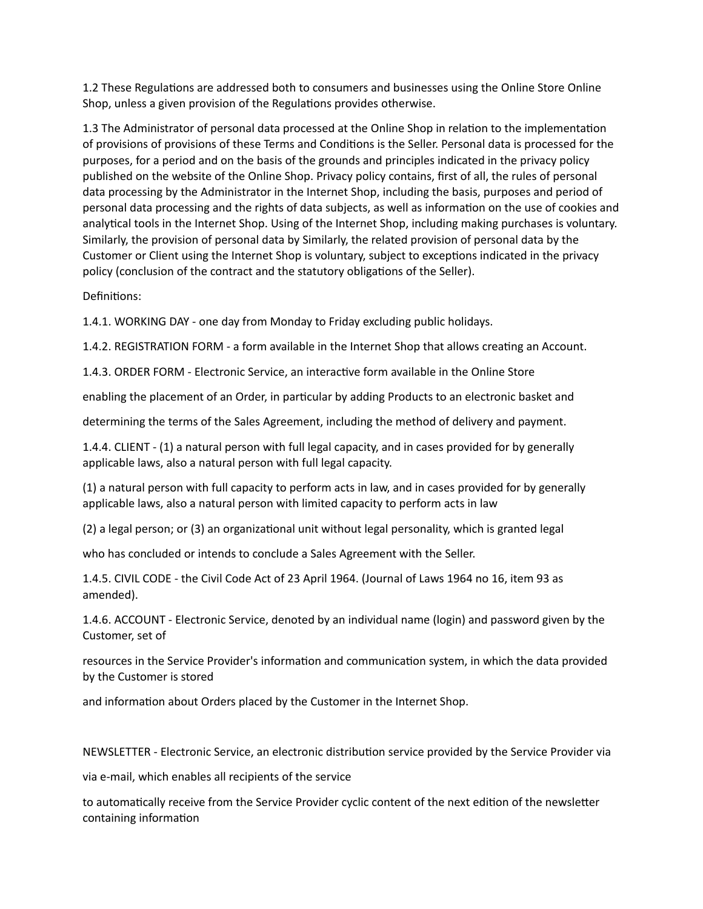1.2 These Regulations are addressed both to consumers and businesses using the Online Store Online Shop, unless a given provision of the Regulations provides otherwise.

1.3 The Administrator of personal data processed at the Online Shop in relation to the implementation of provisions of provisions of these Terms and Conditions is the Seller. Personal data is processed for the purposes, for a period and on the basis of the grounds and principles indicated in the privacy policy published on the website of the Online Shop. Privacy policy contains, first of all, the rules of personal data processing by the Administrator in the Internet Shop, including the basis, purposes and period of personal data processing and the rights of data subjects, as well as information on the use of cookies and analytical tools in the Internet Shop. Using of the Internet Shop, including making purchases is voluntary. Similarly, the provision of personal data by Similarly, the related provision of personal data by the Customer or Client using the Internet Shop is voluntary, subject to exceptions indicated in the privacy policy (conclusion of the contract and the statutory obligations of the Seller).

Definitions:

1.4.1. WORKING DAY - one day from Monday to Friday excluding public holidays.

1.4.2. REGISTRATION FORM - a form available in the Internet Shop that allows creating an Account.

1.4.3. ORDER FORM - Electronic Service, an interactive form available in the Online Store

enabling the placement of an Order, in particular by adding Products to an electronic basket and

determining the terms of the Sales Agreement, including the method of delivery and payment.

1.4.4. CLIENT - (1) a natural person with full legal capacity, and in cases provided for by generally applicable laws, also a natural person with full legal capacity.

(1) a natural person with full capacity to perform acts in law, and in cases provided for by generally applicable laws, also a natural person with limited capacity to perform acts in law

(2) a legal person; or (3) an organizational unit without legal personality, which is granted legal

who has concluded or intends to conclude a Sales Agreement with the Seller.

1.4.5. CIVIL CODE - the Civil Code Act of 23 April 1964. (Journal of Laws 1964 no 16, item 93 as amended).

1.4.6. ACCOUNT - Electronic Service, denoted by an individual name (login) and password given by the Customer, set of

resources in the Service Provider's information and communication system, in which the data provided by the Customer is stored

and information about Orders placed by the Customer in the Internet Shop.

NEWSLETTER - Electronic Service, an electronic distribution service provided by the Service Provider via

via e-mail, which enables all recipients of the service

to automatically receive from the Service Provider cyclic content of the next edition of the newsletter containing information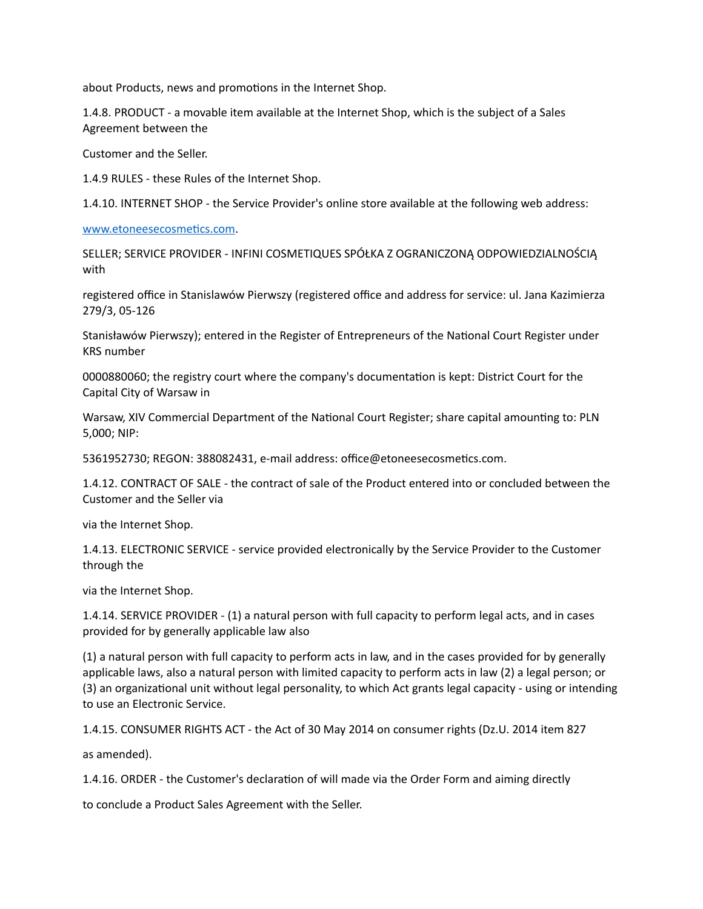about Products, news and promotions in the Internet Shop.

1.4.8. PRODUCT - a movable item available at the Internet Shop, which is the subject of a Sales Agreement between the

Customer and the Seller.

1.4.9 RULES - these Rules of the Internet Shop.

1.4.10. INTERNET SHOP - the Service Provider's online store available at the following web address:

www.etoneesecosmetics.com.

SELLER; SERVICE PROVIDER - INFINI COSMETIQUES SPÓŁKA Z OGRANICZONĄ ODPOWIEDZIALNOŚCIĄ with

registered office in Stanislawów Pierwszy (registered office and address for service: ul. Jana Kazimierza 279/3, 05-126

Stanisławów Pierwszy); entered in the Register of Entrepreneurs of the National Court Register under KRS number

0000880060; the registry court where the company's documentation is kept: District Court for the Capital City of Warsaw in

Warsaw, XIV Commercial Department of the National Court Register; share capital amounting to: PLN 5,000; NIP:

5361952730; REGON: 388082431, e-mail address: office@etoneesecosmetics.com.

1.4.12. CONTRACT OF SALE - the contract of sale of the Product entered into or concluded between the Customer and the Seller via

via the Internet Shop.

1.4.13. ELECTRONIC SERVICE - service provided electronically by the Service Provider to the Customer through the

via the Internet Shop.

1.4.14. SERVICE PROVIDER - (1) a natural person with full capacity to perform legal acts, and in cases provided for by generally applicable law also

(1) a natural person with full capacity to perform acts in law, and in the cases provided for by generally applicable laws, also a natural person with limited capacity to perform acts in law (2) a legal person; or (3) an organizational unit without legal personality, to which Act grants legal capacity - using or intending to use an Electronic Service.

1.4.15. CONSUMER RIGHTS ACT - the Act of 30 May 2014 on consumer rights (Dz.U. 2014 item 827

as amended).

1.4.16. ORDER - the Customer's declaration of will made via the Order Form and aiming directly

to conclude a Product Sales Agreement with the Seller.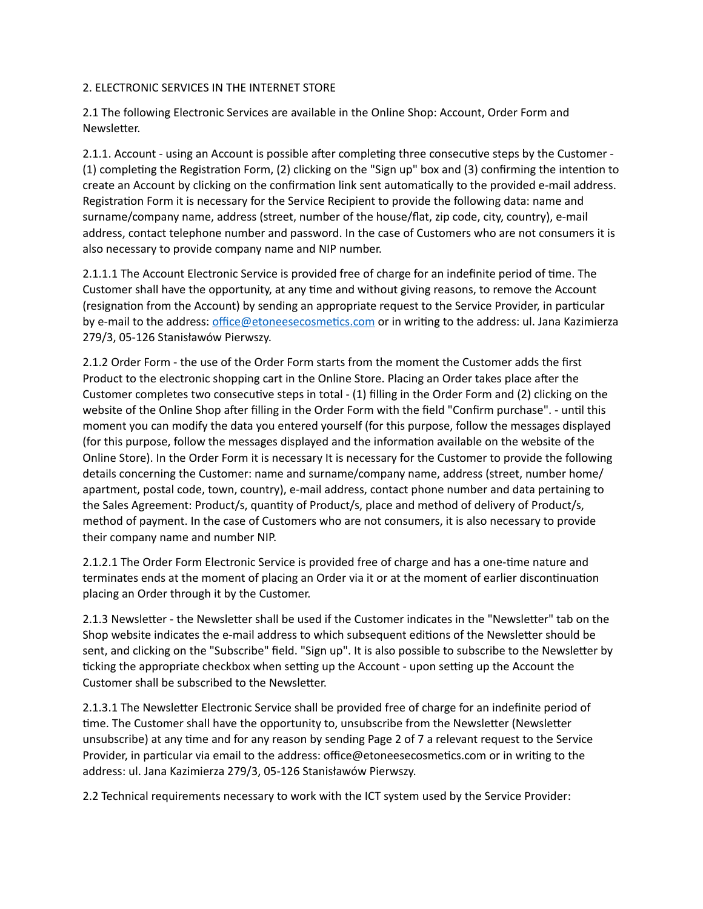## 2. ELECTRONIC SERVICES IN THE INTERNET STORE

2.1 The following Electronic Services are available in the Online Shop: Account, Order Form and Newsletter.

2.1.1. Account - using an Account is possible after completing three consecutive steps by the Customer -(1) completing the Registration Form, (2) clicking on the "Sign up" box and (3) confirming the intention to create an Account by clicking on the confirmation link sent automatically to the provided e-mail address. Registration Form it is necessary for the Service Recipient to provide the following data: name and surname/company name, address (street, number of the house/flat, zip code, city, country), e-mail address, contact telephone number and password. In the case of Customers who are not consumers it is also necessary to provide company name and NIP number.

2.1.1.1 The Account Electronic Service is provided free of charge for an indefinite period of time. The Customer shall have the opportunity, at any time and without giving reasons, to remove the Account (resignation from the Account) by sending an appropriate request to the Service Provider, in particular by e-mail to the address: office@etoneesecosmetics.com or in writing to the address: ul. Jana Kazimierza 279/3, 05-126 Stanisławów Pierwszy.

2.1.2 Order Form - the use of the Order Form starts from the moment the Customer adds the first Product to the electronic shopping cart in the Online Store. Placing an Order takes place after the Customer completes two consecutive steps in total - (1) filling in the Order Form and (2) clicking on the website of the Online Shop after filling in the Order Form with the field "Confirm purchase". - until this moment you can modify the data you entered yourself (for this purpose, follow the messages displayed (for this purpose, follow the messages displayed and the information available on the website of the Online Store). In the Order Form it is necessary It is necessary for the Customer to provide the following details concerning the Customer: name and surname/company name, address (street, number home/ apartment, postal code, town, country), e-mail address, contact phone number and data pertaining to the Sales Agreement: Product/s, quantity of Product/s, place and method of delivery of Product/s, method of payment. In the case of Customers who are not consumers, it is also necessary to provide their company name and number NIP.

2.1.2.1 The Order Form Electronic Service is provided free of charge and has a one-time nature and terminates ends at the moment of placing an Order via it or at the moment of earlier discontinuation placing an Order through it by the Customer.

2.1.3 Newsletter - the Newsletter shall be used if the Customer indicates in the "Newsletter" tab on the Shop website indicates the e-mail address to which subsequent editions of the Newsletter should be sent, and clicking on the "Subscribe" field. "Sign up". It is also possible to subscribe to the Newsletter by ticking the appropriate checkbox when setting up the Account - upon setting up the Account the Customer shall be subscribed to the Newsletter.

2.1.3.1 The Newsletter Electronic Service shall be provided free of charge for an indefinite period of time. The Customer shall have the opportunity to, unsubscribe from the Newsletter (Newsletter unsubscribe) at any time and for any reason by sending Page 2 of 7 a relevant request to the Service Provider, in particular via email to the address: office@etoneesecosmetics.com or in writing to the address: ul. Jana Kazimierza 279/3, 05-126 Stanisławów Pierwszy.

2.2 Technical requirements necessary to work with the ICT system used by the Service Provider: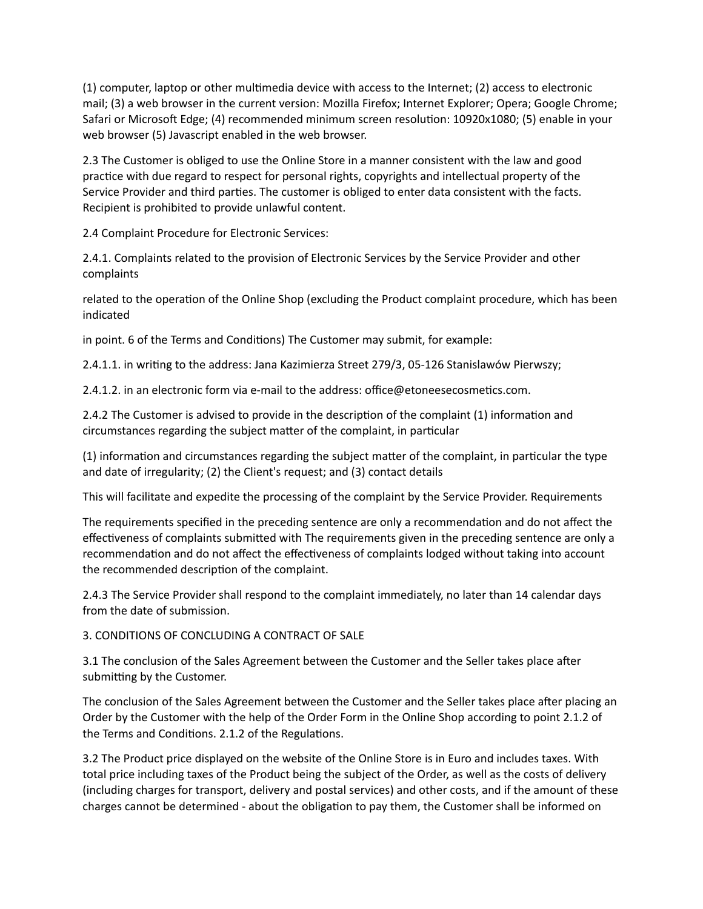$(1)$  computer, laptop or other multimedia device with access to the Internet;  $(2)$  access to electronic mail; (3) a web browser in the current version: Mozilla Firefox; Internet Explorer; Opera; Google Chrome; Safari or Microsoft Edge; (4) recommended minimum screen resolution: 10920x1080; (5) enable in your web browser (5) Javascript enabled in the web browser.

2.3 The Customer is obliged to use the Online Store in a manner consistent with the law and good practice with due regard to respect for personal rights, copyrights and intellectual property of the Service Provider and third parties. The customer is obliged to enter data consistent with the facts. Recipient is prohibited to provide unlawful content.

2.4 Complaint Procedure for Electronic Services:

2.4.1. Complaints related to the provision of Electronic Services by the Service Provider and other complaints

related to the operation of the Online Shop (excluding the Product complaint procedure, which has been indicated

in point. 6 of the Terms and Conditions) The Customer may submit, for example:

2.4.1.1. in writing to the address: Jana Kazimierza Street 279/3, 05-126 Stanislawów Pierwszy;

2.4.1.2. in an electronic form via e-mail to the address: office@etoneesecosmetics.com.

2.4.2 The Customer is advised to provide in the description of the complaint (1) information and circumstances regarding the subject matter of the complaint, in particular

 $(1)$  information and circumstances regarding the subject matter of the complaint, in particular the type and date of irregularity; (2) the Client's request; and (3) contact details

This will facilitate and expedite the processing of the complaint by the Service Provider. Requirements

The requirements specified in the preceding sentence are only a recommendation and do not affect the effectiveness of complaints submitted with The requirements given in the preceding sentence are only a recommendation and do not affect the effectiveness of complaints lodged without taking into account the recommended description of the complaint.

2.4.3 The Service Provider shall respond to the complaint immediately, no later than 14 calendar days from the date of submission.

3. CONDITIONS OF CONCLUDING A CONTRACT OF SALE

3.1 The conclusion of the Sales Agreement between the Customer and the Seller takes place after submitting by the Customer.

The conclusion of the Sales Agreement between the Customer and the Seller takes place after placing an Order by the Customer with the help of the Order Form in the Online Shop according to point 2.1.2 of the Terms and Conditions. 2.1.2 of the Regulations.

3.2 The Product price displayed on the website of the Online Store is in Euro and includes taxes. With total price including taxes of the Product being the subject of the Order, as well as the costs of delivery (including charges for transport, delivery and postal services) and other costs, and if the amount of these charges cannot be determined - about the obligation to pay them, the Customer shall be informed on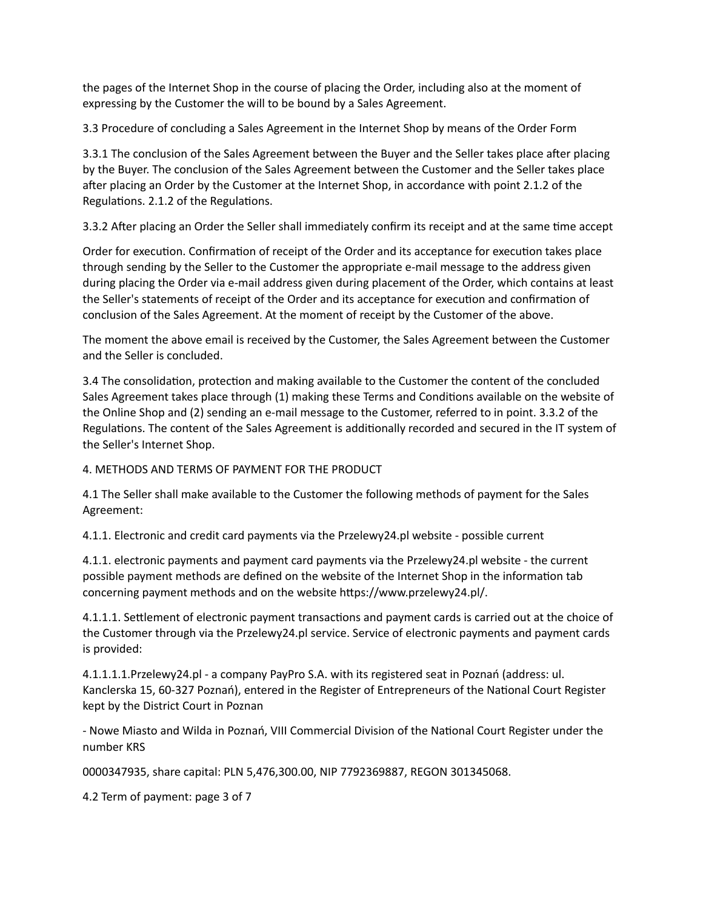the pages of the Internet Shop in the course of placing the Order, including also at the moment of expressing by the Customer the will to be bound by a Sales Agreement.

3.3 Procedure of concluding a Sales Agreement in the Internet Shop by means of the Order Form

3.3.1 The conclusion of the Sales Agreement between the Buyer and the Seller takes place after placing by the Buyer. The conclusion of the Sales Agreement between the Customer and the Seller takes place after placing an Order by the Customer at the Internet Shop, in accordance with point 2.1.2 of the Regulations. 2.1.2 of the Regulations.

3.3.2 After placing an Order the Seller shall immediately confirm its receipt and at the same time accept

Order for execution. Confirmation of receipt of the Order and its acceptance for execution takes place through sending by the Seller to the Customer the appropriate e-mail message to the address given during placing the Order via e-mail address given during placement of the Order, which contains at least the Seller's statements of receipt of the Order and its acceptance for execution and confirmation of conclusion of the Sales Agreement. At the moment of receipt by the Customer of the above.

The moment the above email is received by the Customer, the Sales Agreement between the Customer and the Seller is concluded.

3.4 The consolidation, protection and making available to the Customer the content of the concluded Sales Agreement takes place through (1) making these Terms and Conditions available on the website of the Online Shop and (2) sending an e-mail message to the Customer, referred to in point. 3.3.2 of the Regulations. The content of the Sales Agreement is additionally recorded and secured in the IT system of the Seller's Internet Shop.

4. METHODS AND TERMS OF PAYMENT FOR THE PRODUCT

4.1 The Seller shall make available to the Customer the following methods of payment for the Sales Agreement:

4.1.1. Electronic and credit card payments via the Przelewy24.pl website - possible current

4.1.1. electronic payments and payment card payments via the Przelewy24.pl website - the current possible payment methods are defined on the website of the Internet Shop in the information tab concerning payment methods and on the website https://www.przelewy24.pl/.

4.1.1.1. Settlement of electronic payment transactions and payment cards is carried out at the choice of the Customer through via the Przelewy24.pl service. Service of electronic payments and payment cards is provided:

4.1.1.1.1.Przelewy24.pl - a company PayPro S.A. with its registered seat in Poznań (address: ul. Kanclerska 15, 60-327 Poznań), entered in the Register of Entrepreneurs of the National Court Register kept by the District Court in Poznan

- Nowe Miasto and Wilda in Poznań, VIII Commercial Division of the National Court Register under the number KRS

0000347935, share capital: PLN 5,476,300.00, NIP 7792369887, REGON 301345068.

4.2 Term of payment: page 3 of 7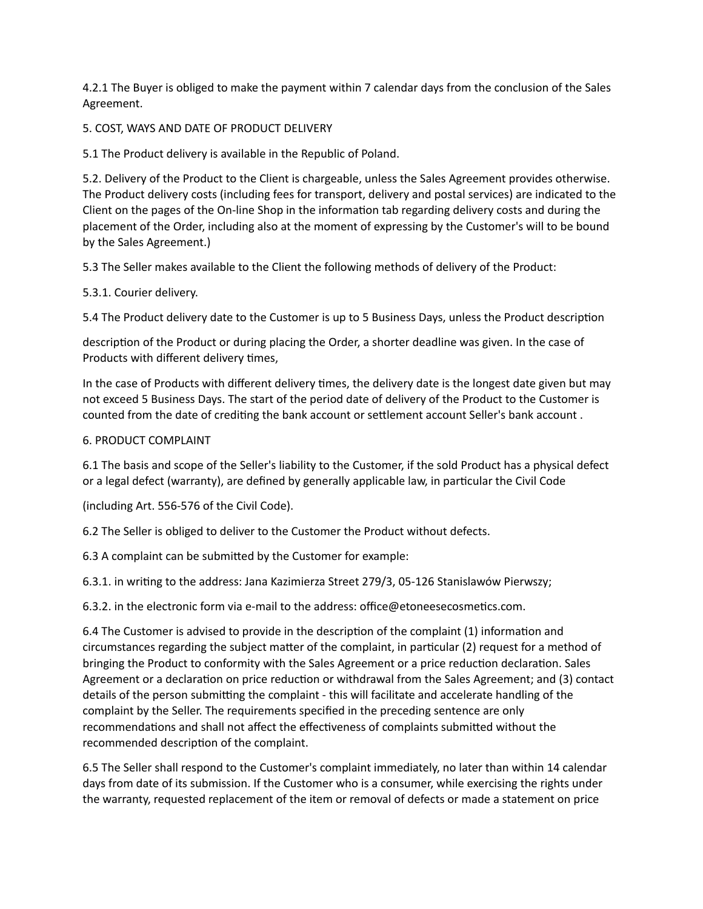4.2.1 The Buyer is obliged to make the payment within 7 calendar days from the conclusion of the Sales Agreement.

5. COST, WAYS AND DATE OF PRODUCT DELIVERY

5.1 The Product delivery is available in the Republic of Poland.

5.2. Delivery of the Product to the Client is chargeable, unless the Sales Agreement provides otherwise. The Product delivery costs (including fees for transport, delivery and postal services) are indicated to the Client on the pages of the On-line Shop in the information tab regarding delivery costs and during the placement of the Order, including also at the moment of expressing by the Customer's will to be bound by the Sales Agreement.)

5.3 The Seller makes available to the Client the following methods of delivery of the Product:

### 5.3.1. Courier delivery.

5.4 The Product delivery date to the Customer is up to 5 Business Days, unless the Product description

description of the Product or during placing the Order, a shorter deadline was given. In the case of Products with different delivery times,

In the case of Products with different delivery times, the delivery date is the longest date given but may not exceed 5 Business Days. The start of the period date of delivery of the Product to the Customer is counted from the date of crediting the bank account or settlement account Seller's bank account .

#### 6. PRODUCT COMPLAINT

6.1 The basis and scope of the Seller's liability to the Customer, if the sold Product has a physical defect or a legal defect (warranty), are defined by generally applicable law, in particular the Civil Code

(including Art. 556-576 of the Civil Code).

6.2 The Seller is obliged to deliver to the Customer the Product without defects.

6.3 A complaint can be submitted by the Customer for example:

6.3.1. in writing to the address: Jana Kazimierza Street 279/3, 05-126 Stanislawów Pierwszy;

6.3.2. in the electronic form via e-mail to the address: office@etoneesecosmetics.com.

6.4 The Customer is advised to provide in the description of the complaint (1) information and circumstances regarding the subject matter of the complaint, in particular (2) request for a method of bringing the Product to conformity with the Sales Agreement or a price reduction declaration. Sales Agreement or a declaration on price reduction or withdrawal from the Sales Agreement; and (3) contact details of the person submitting the complaint - this will facilitate and accelerate handling of the complaint by the Seller. The requirements specified in the preceding sentence are only recommendations and shall not affect the effectiveness of complaints submitted without the recommended description of the complaint.

6.5 The Seller shall respond to the Customer's complaint immediately, no later than within 14 calendar days from date of its submission. If the Customer who is a consumer, while exercising the rights under the warranty, requested replacement of the item or removal of defects or made a statement on price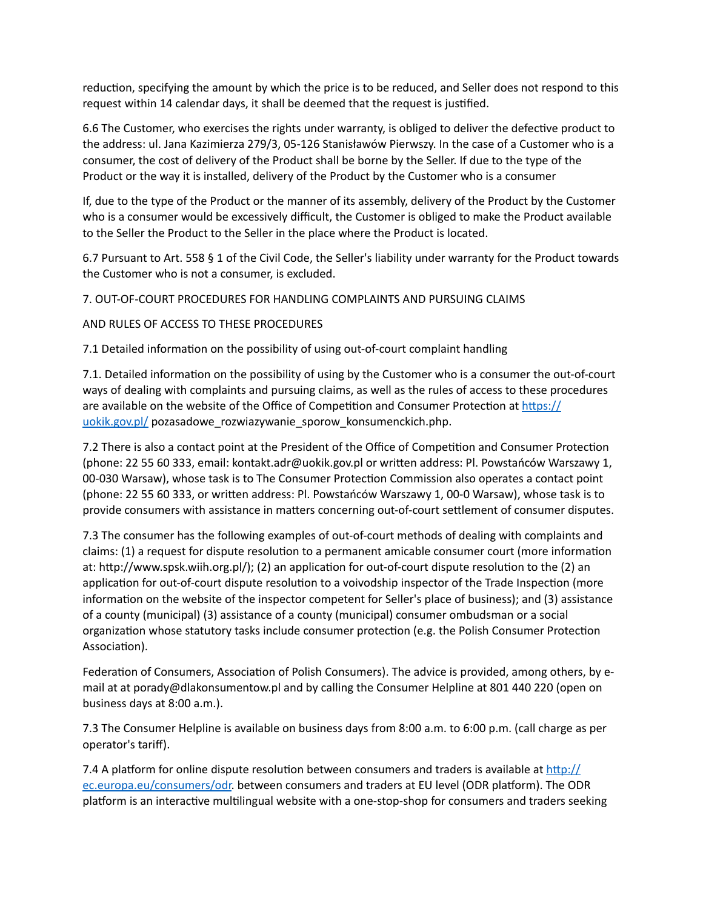reduction, specifying the amount by which the price is to be reduced, and Seller does not respond to this request within 14 calendar days, it shall be deemed that the request is justified.

6.6 The Customer, who exercises the rights under warranty, is obliged to deliver the defective product to the address: ul. Jana Kazimierza 279/3, 05-126 Stanisławów Pierwszy. In the case of a Customer who is a consumer, the cost of delivery of the Product shall be borne by the Seller. If due to the type of the Product or the way it is installed, delivery of the Product by the Customer who is a consumer

If, due to the type of the Product or the manner of its assembly, delivery of the Product by the Customer who is a consumer would be excessively difficult, the Customer is obliged to make the Product available to the Seller the Product to the Seller in the place where the Product is located.

6.7 Pursuant to Art. 558 § 1 of the Civil Code, the Seller's liability under warranty for the Product towards the Customer who is not a consumer, is excluded.

### 7. OUT-OF-COURT PROCEDURES FOR HANDLING COMPLAINTS AND PURSUING CLAIMS

### AND RULES OF ACCESS TO THESE PROCEDURES

7.1 Detailed information on the possibility of using out-of-court complaint handling

7.1. Detailed information on the possibility of using by the Customer who is a consumer the out-of-court ways of dealing with complaints and pursuing claims, as well as the rules of access to these procedures are available on the website of the Office of Competition and Consumer Protection at https:// [uokik.gov.pl/](https://uokik.gov.pl/) pozasadowe\_rozwiazywanie\_sporow\_konsumenckich.php.

7.2 There is also a contact point at the President of the Office of Competition and Consumer Protection (phone: 22 55 60 333, email: kontakt.adr@uokik.gov.pl or wriren address: Pl. Powstańców Warszawy 1, 00-030 Warsaw), whose task is to The Consumer Protection Commission also operates a contact point (phone: 22 55 60 333, or wriren address: Pl. Powstańców Warszawy 1, 00-0 Warsaw), whose task is to provide consumers with assistance in matters concerning out-of-court settlement of consumer disputes.

7.3 The consumer has the following examples of out-of-court methods of dealing with complaints and claims: (1) a request for dispute resolution to a permanent amicable consumer court (more information at: http://www.spsk.wiih.org.pl/); (2) an application for out-of-court dispute resolution to the (2) an application for out-of-court dispute resolution to a voivodship inspector of the Trade Inspection (more information on the website of the inspector competent for Seller's place of business); and (3) assistance of a county (municipal) (3) assistance of a county (municipal) consumer ombudsman or a social organization whose statutory tasks include consumer protection (e.g. the Polish Consumer Protection Association).

Federation of Consumers, Association of Polish Consumers). The advice is provided, among others, by email at at porady@dlakonsumentow.pl and by calling the Consumer Helpline at 801 440 220 (open on business days at 8:00 a.m.).

7.3 The Consumer Helpline is available on business days from 8:00 a.m. to 6:00 p.m. (call charge as per operator's tariff).

7.4 A platform for online dispute resolution between consumers and traders is available at  $\frac{http://}{http://}$ [ec.europa.eu/consumers/odr.](http://ec.europa.eu/consumers/odr) between consumers and traders at EU level (ODR platform). The ODR platform is an interactive multilingual website with a one-stop-shop for consumers and traders seeking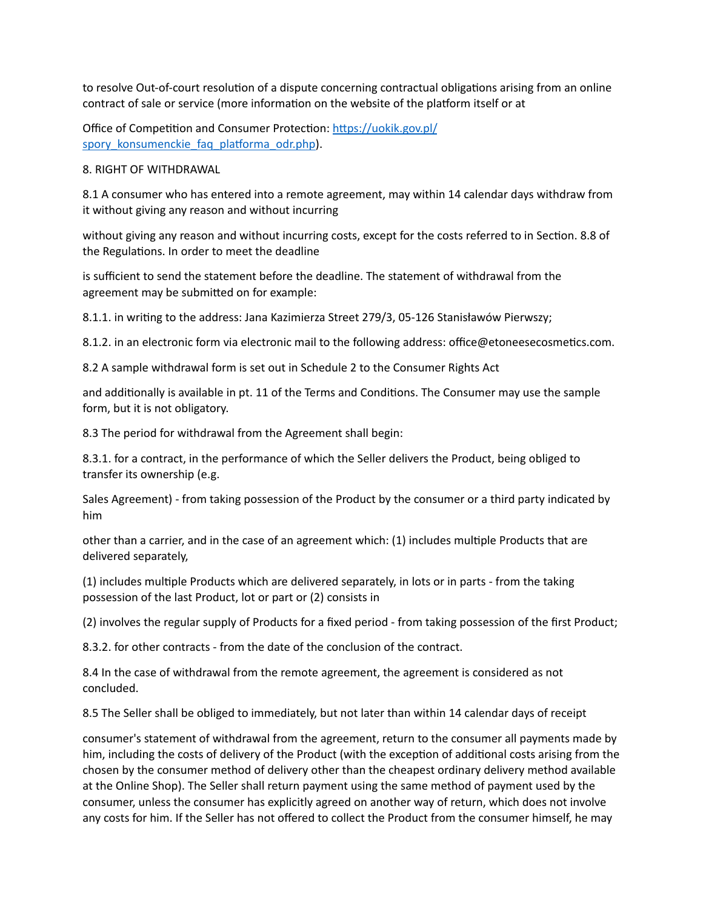to resolve Out-of-court resolution of a dispute concerning contractual obligations arising from an online contract of sale or service (more information on the website of the platform itself or at

Office of Competition and Consumer Protection: https://uokik.gov.pl/ spory konsumenckie faq platforma odr.php).

8. RIGHT OF WITHDRAWAL

8.1 A consumer who has entered into a remote agreement, may within 14 calendar days withdraw from it without giving any reason and without incurring

without giving any reason and without incurring costs, except for the costs referred to in Section. 8.8 of the Regulations. In order to meet the deadline

is sufficient to send the statement before the deadline. The statement of withdrawal from the agreement may be submitted on for example:

8.1.1. in writing to the address: Jana Kazimierza Street 279/3, 05-126 Stanisławów Pierwszy;

8.1.2. in an electronic form via electronic mail to the following address: office@etoneesecosmetics.com.

8.2 A sample withdrawal form is set out in Schedule 2 to the Consumer Rights Act

and additionally is available in pt. 11 of the Terms and Conditions. The Consumer may use the sample form, but it is not obligatory.

8.3 The period for withdrawal from the Agreement shall begin:

8.3.1. for a contract, in the performance of which the Seller delivers the Product, being obliged to transfer its ownership (e.g.

Sales Agreement) - from taking possession of the Product by the consumer or a third party indicated by him

other than a carrier, and in the case of an agreement which: (1) includes multiple Products that are delivered separately,

(1) includes multiple Products which are delivered separately, in lots or in parts - from the taking possession of the last Product, lot or part or (2) consists in

(2) involves the regular supply of Products for a fixed period - from taking possession of the first Product;

8.3.2. for other contracts - from the date of the conclusion of the contract.

8.4 In the case of withdrawal from the remote agreement, the agreement is considered as not concluded.

8.5 The Seller shall be obliged to immediately, but not later than within 14 calendar days of receipt

consumer's statement of withdrawal from the agreement, return to the consumer all payments made by him, including the costs of delivery of the Product (with the exception of additional costs arising from the chosen by the consumer method of delivery other than the cheapest ordinary delivery method available at the Online Shop). The Seller shall return payment using the same method of payment used by the consumer, unless the consumer has explicitly agreed on another way of return, which does not involve any costs for him. If the Seller has not offered to collect the Product from the consumer himself, he may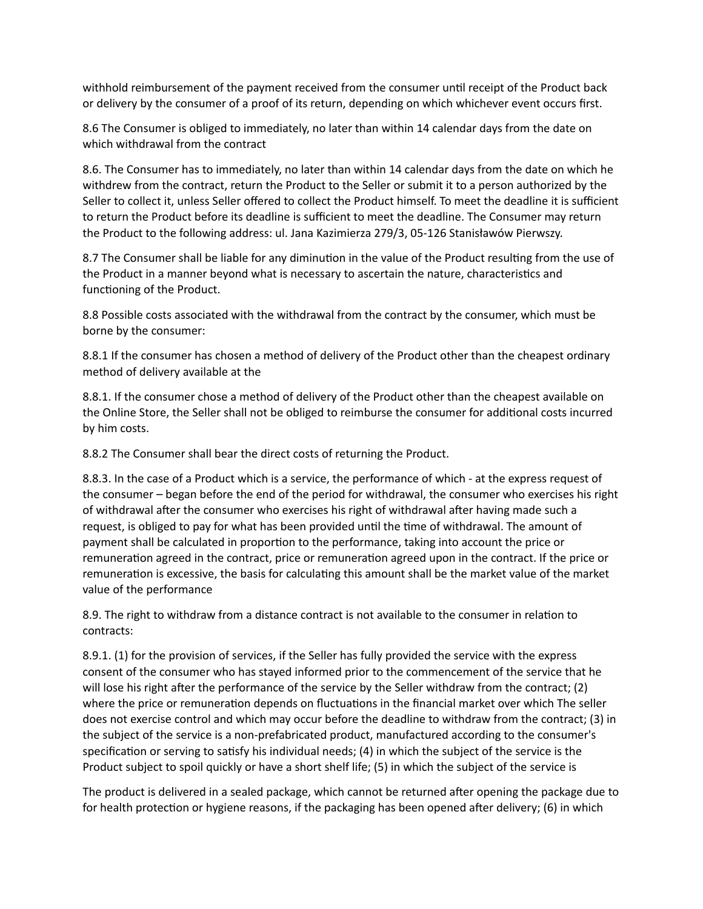withhold reimbursement of the payment received from the consumer until receipt of the Product back or delivery by the consumer of a proof of its return, depending on which whichever event occurs first.

8.6 The Consumer is obliged to immediately, no later than within 14 calendar days from the date on which withdrawal from the contract

8.6. The Consumer has to immediately, no later than within 14 calendar days from the date on which he withdrew from the contract, return the Product to the Seller or submit it to a person authorized by the Seller to collect it, unless Seller offered to collect the Product himself. To meet the deadline it is sufficient to return the Product before its deadline is sufficient to meet the deadline. The Consumer may return the Product to the following address: ul. Jana Kazimierza 279/3, 05-126 Stanisławów Pierwszy.

8.7 The Consumer shall be liable for any diminution in the value of the Product resulting from the use of the Product in a manner beyond what is necessary to ascertain the nature, characteristics and functioning of the Product.

8.8 Possible costs associated with the withdrawal from the contract by the consumer, which must be borne by the consumer:

8.8.1 If the consumer has chosen a method of delivery of the Product other than the cheapest ordinary method of delivery available at the

8.8.1. If the consumer chose a method of delivery of the Product other than the cheapest available on the Online Store, the Seller shall not be obliged to reimburse the consumer for additional costs incurred by him costs.

8.8.2 The Consumer shall bear the direct costs of returning the Product.

8.8.3. In the case of a Product which is a service, the performance of which - at the express request of the consumer – began before the end of the period for withdrawal, the consumer who exercises his right of withdrawal after the consumer who exercises his right of withdrawal after having made such a request, is obliged to pay for what has been provided until the time of withdrawal. The amount of payment shall be calculated in proportion to the performance, taking into account the price or remuneration agreed in the contract, price or remuneration agreed upon in the contract. If the price or remuneration is excessive, the basis for calculating this amount shall be the market value of the market value of the performance

8.9. The right to withdraw from a distance contract is not available to the consumer in relation to contracts:

8.9.1. (1) for the provision of services, if the Seller has fully provided the service with the express consent of the consumer who has stayed informed prior to the commencement of the service that he will lose his right after the performance of the service by the Seller withdraw from the contract; (2) where the price or remuneration depends on fluctuations in the financial market over which The seller does not exercise control and which may occur before the deadline to withdraw from the contract; (3) in the subject of the service is a non-prefabricated product, manufactured according to the consumer's specification or serving to satisfy his individual needs; (4) in which the subject of the service is the Product subject to spoil quickly or have a short shelf life; (5) in which the subject of the service is

The product is delivered in a sealed package, which cannot be returned after opening the package due to for health protection or hygiene reasons, if the packaging has been opened after delivery; (6) in which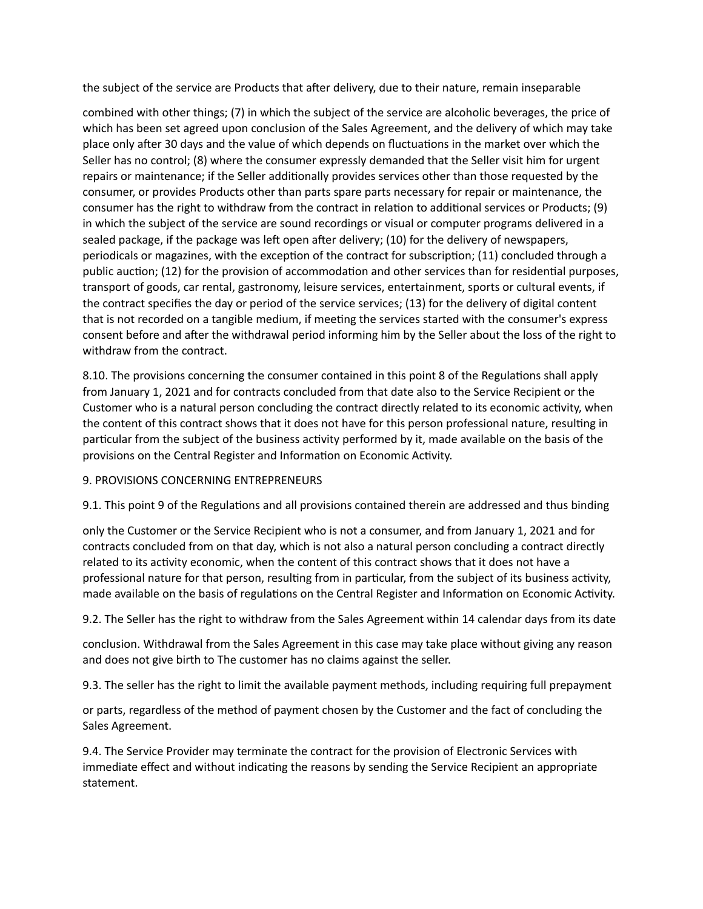the subject of the service are Products that after delivery, due to their nature, remain inseparable

combined with other things; (7) in which the subject of the service are alcoholic beverages, the price of which has been set agreed upon conclusion of the Sales Agreement, and the delivery of which may take place only after 30 days and the value of which depends on fluctuations in the market over which the Seller has no control; (8) where the consumer expressly demanded that the Seller visit him for urgent repairs or maintenance; if the Seller additionally provides services other than those requested by the consumer, or provides Products other than parts spare parts necessary for repair or maintenance, the consumer has the right to withdraw from the contract in relation to additional services or Products; (9) in which the subject of the service are sound recordings or visual or computer programs delivered in a sealed package, if the package was left open after delivery; (10) for the delivery of newspapers, periodicals or magazines, with the exception of the contract for subscription; (11) concluded through a public auction; (12) for the provision of accommodation and other services than for residential purposes, transport of goods, car rental, gastronomy, leisure services, entertainment, sports or cultural events, if the contract specifies the day or period of the service services; (13) for the delivery of digital content that is not recorded on a tangible medium, if meeting the services started with the consumer's express consent before and after the withdrawal period informing him by the Seller about the loss of the right to withdraw from the contract.

8.10. The provisions concerning the consumer contained in this point 8 of the Regulations shall apply from January 1, 2021 and for contracts concluded from that date also to the Service Recipient or the Customer who is a natural person concluding the contract directly related to its economic activity, when the content of this contract shows that it does not have for this person professional nature, resulting in particular from the subject of the business activity performed by it, made available on the basis of the provisions on the Central Register and Information on Economic Activity.

## 9. PROVISIONS CONCERNING ENTREPRENEURS

9.1. This point 9 of the Regulations and all provisions contained therein are addressed and thus binding

only the Customer or the Service Recipient who is not a consumer, and from January 1, 2021 and for contracts concluded from on that day, which is not also a natural person concluding a contract directly related to its activity economic, when the content of this contract shows that it does not have a professional nature for that person, resulting from in particular, from the subject of its business activity, made available on the basis of regulations on the Central Register and Information on Economic Activity.

9.2. The Seller has the right to withdraw from the Sales Agreement within 14 calendar days from its date

conclusion. Withdrawal from the Sales Agreement in this case may take place without giving any reason and does not give birth to The customer has no claims against the seller.

9.3. The seller has the right to limit the available payment methods, including requiring full prepayment

or parts, regardless of the method of payment chosen by the Customer and the fact of concluding the Sales Agreement.

9.4. The Service Provider may terminate the contract for the provision of Electronic Services with immediate effect and without indicating the reasons by sending the Service Recipient an appropriate statement.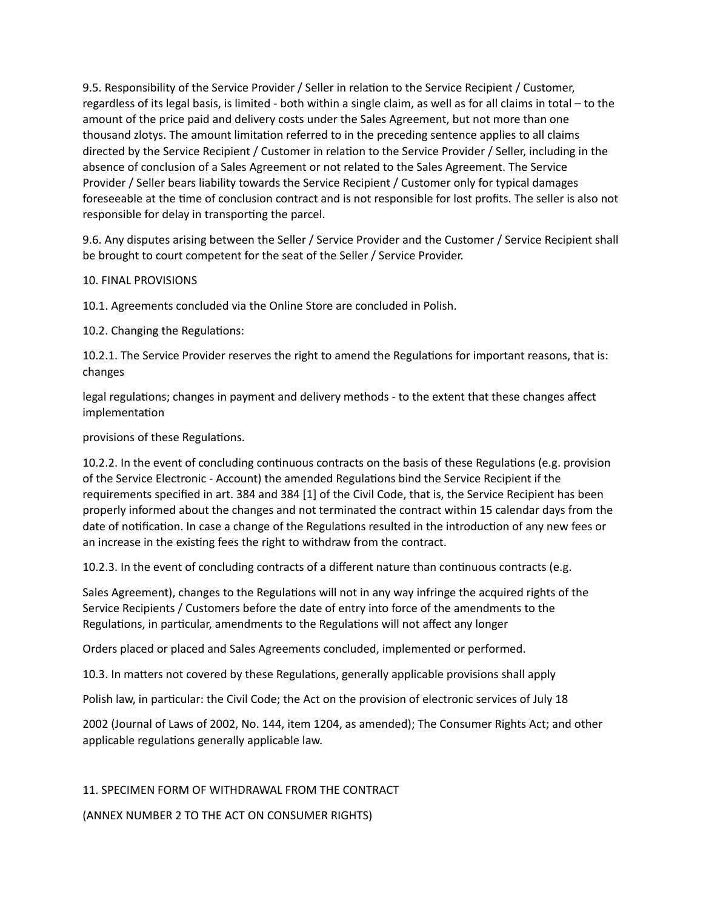9.5. Responsibility of the Service Provider / Seller in relation to the Service Recipient / Customer, regardless of its legal basis, is limited - both within a single claim, as well as for all claims in total – to the amount of the price paid and delivery costs under the Sales Agreement, but not more than one thousand zlotys. The amount limitation referred to in the preceding sentence applies to all claims directed by the Service Recipient / Customer in relation to the Service Provider / Seller, including in the absence of conclusion of a Sales Agreement or not related to the Sales Agreement. The Service Provider / Seller bears liability towards the Service Recipient / Customer only for typical damages foreseeable at the time of conclusion contract and is not responsible for lost profits. The seller is also not responsible for delay in transporting the parcel.

9.6. Any disputes arising between the Seller / Service Provider and the Customer / Service Recipient shall be brought to court competent for the seat of the Seller / Service Provider.

# 10. FINAL PROVISIONS

10.1. Agreements concluded via the Online Store are concluded in Polish.

10.2. Changing the Regulations:

10.2.1. The Service Provider reserves the right to amend the Regulations for important reasons, that is: changes

legal regulations; changes in payment and delivery methods - to the extent that these changes affect implementation

provisions of these Regulations.

10.2.2. In the event of concluding continuous contracts on the basis of these Regulations (e.g. provision of the Service Electronic - Account) the amended Regulations bind the Service Recipient if the requirements specified in art. 384 and 384 [1] of the Civil Code, that is, the Service Recipient has been properly informed about the changes and not terminated the contract within 15 calendar days from the date of notification. In case a change of the Regulations resulted in the introduction of any new fees or an increase in the existing fees the right to withdraw from the contract.

10.2.3. In the event of concluding contracts of a different nature than continuous contracts (e.g.

Sales Agreement), changes to the Regulations will not in any way infringe the acquired rights of the Service Recipients / Customers before the date of entry into force of the amendments to the Regulations, in particular, amendments to the Regulations will not affect any longer

Orders placed or placed and Sales Agreements concluded, implemented or performed.

10.3. In matters not covered by these Regulations, generally applicable provisions shall apply

Polish law, in particular: the Civil Code; the Act on the provision of electronic services of July 18

2002 (Journal of Laws of 2002, No. 144, item 1204, as amended); The Consumer Rights Act; and other applicable regulations generally applicable law.

11. SPECIMEN FORM OF WITHDRAWAL FROM THE CONTRACT

(ANNEX NUMBER 2 TO THE ACT ON CONSUMER RIGHTS)